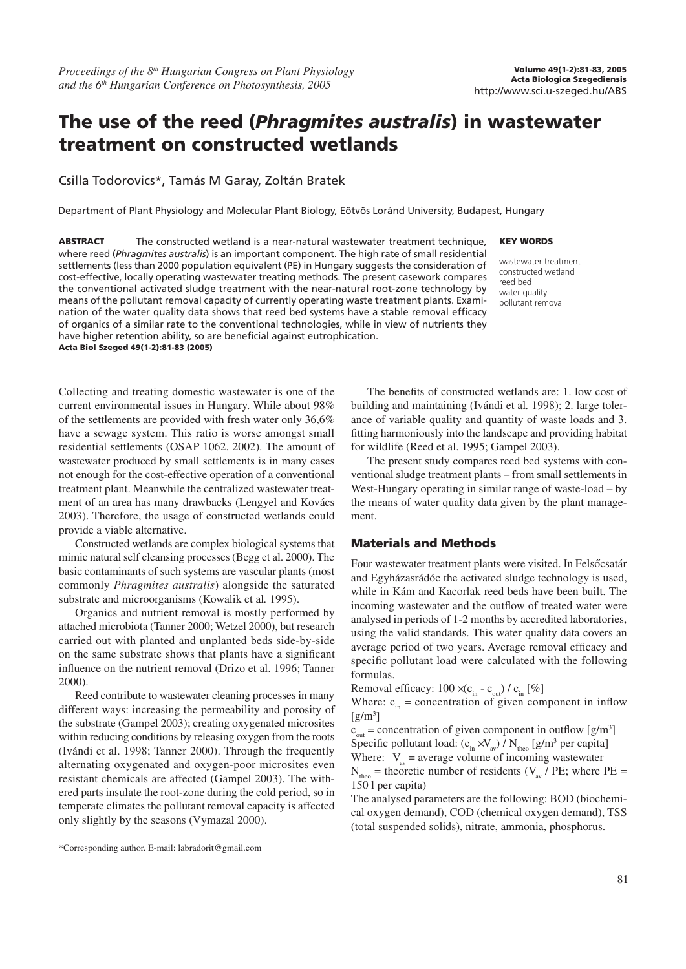# The use of the reed (Phragmites australis) in wastewater treatment on constructed wetlands

### Csilla Todorovics\*, Tamás M Garay, Zoltán Bratek

Department of Plant Physiology and Molecular Plant Biology, Eötvös Loránd University, Budapest, Hungary

ABSTRACT The constructed wetland is a near-natural wastewater treatment technique, where reed (*Phragmites australis*) is an important component. The high rate of small residential settlements (less than 2000 population equivalent (PE) in Hungary suggests the consideration of cost-effective, locally operating wastewater treating methods. The present casework compares the conventional activated sludge treatment with the near-natural root-zone technology by means of the pollutant removal capacity of currently operating waste treatment plants. Examination of the water quality data shows that reed bed systems have a stable removal efficacy of organics of a similar rate to the conventional technologies, while in view of nutrients they have higher retention ability, so are beneficial against eutrophication. Acta Biol Szeged 49(1-2):81-83 (2005)

Collecting and treating domestic wastewater is one of the current environmental issues in Hungary. While about 98% of the settlements are provided with fresh water only 36,6% have a sewage system. This ratio is worse amongst small residential settlements (OSAP 1062. 2002). The amount of wastewater produced by small settlements is in many cases not enough for the cost-effective operation of a conventional treatment plant. Meanwhile the centralized wastewater treatment of an area has many drawbacks (Lengyel and Kovács 2003). Therefore, the usage of constructed wetlands could

provide a viable alternative. Constructed wetlands are complex biological systems that mimic natural self cleansing processes (Begg et al. 2000). The basic contaminants of such systems are vascular plants (most commonly *Phragmites australis*) alongside the saturated substrate and microorganisms (Kowalik et al*.* 1995).

Organics and nutrient removal is mostly performed by attached microbiota (Tanner 2000; Wetzel 2000), but research carried out with planted and unplanted beds side-by-side on the same substrate shows that plants have a significant influence on the nutrient removal (Drizo et al. 1996; Tanner 2000).

Reed contribute to wastewater cleaning processes in many different ways: increasing the permeability and porosity of the substrate (Gampel 2003); creating oxygenated microsites within reducing conditions by releasing oxygen from the roots (Ivándi et al. 1998; Tanner 2000). Through the frequently alternating oxygenated and oxygen-poor microsites even resistant chemicals are affected (Gampel 2003). The withered parts insulate the root-zone during the cold period, so in temperate climates the pollutant removal capacity is affected only slightly by the seasons (Vymazal 2000).

#### KEY WORDS

wastewater treatment constructed wetland reed bed water quality pollutant removal

The benefits of constructed wetlands are: 1. low cost of building and maintaining (Ivándi et al*.* 1998); 2. large tolerance of variable quality and quantity of waste loads and 3. fitting harmoniously into the landscape and providing habitat for wildlife (Reed et al. 1995; Gampel 2003).

The present study compares reed bed systems with conventional sludge treatment plants – from small settlements in West-Hungary operating in similar range of waste-load – by the means of water quality data given by the plant management.

### Materials and Methods

Four wastewater treatment plants were visited. In Felsôcsatár and Egyházasrádóc the activated sludge technology is used, while in Kám and Kacorlak reed beds have been built. The incoming wastewater and the outflow of treated water were analysed in periods of 1-2 months by accredited laboratories, using the valid standards. This water quality data covers an average period of two years. Average removal efficacy and specific pollutant load were calculated with the following formulas.

Removal efficacy:  $100 \times (c_{in} - c_{out}) / c_{in} [\%]$ 

Where:  $c_{in}$  = concentration of given component in inflow  $[g/m^3]$ 

 $c_{\text{out}}$  = concentration of given component in outflow [g/m<sup>3</sup>] Specific pollutant load:  $(c_{in} xV_{av}) / N_{theo}$  [g/m<sup>3</sup> per capita] Where:  $V_{av}$  = average volume of incoming wastewater  $N_{theo}$  = theoretic number of residents ( $V_{av}$  / PE; where PE = 150 l per capita)

The analysed parameters are the following: BOD (biochemical oxygen demand), COD (chemical oxygen demand), TSS (total suspended solids), nitrate, ammonia, phosphorus.

<sup>\*</sup>Corresponding author. E-mail: labradorit@gmail.com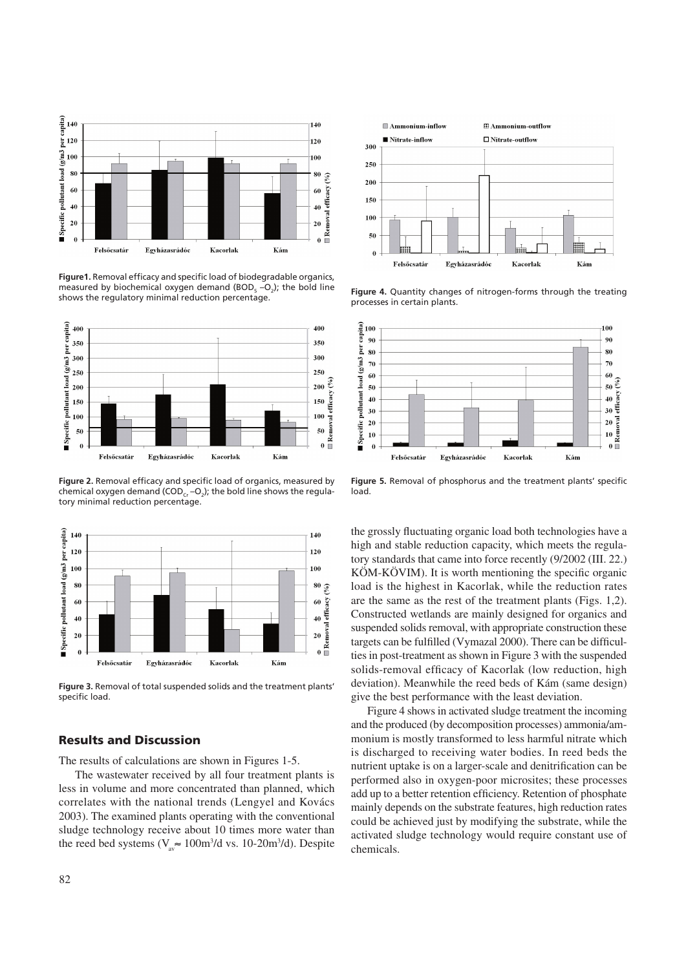

**Figure1.** Removal efficacy and specific load of biodegradable organics, measured by biochemical oxygen demand (BOD<sub>5</sub>-O<sub>2</sub>); the bold line shows the regulatory minimal reduction percentage.



**Figure 2.** Removal efficacy and specific load of organics, measured by chemical oxygen demand (COD $_{\rm cr}$  –O $_{\rm 2}$ ); the bold line shows the regulatory minimal reduction percentage.



**Figure 3.** Removal of total suspended solids and the treatment plants' specific load.

## Results and Discussion

The results of calculations are shown in Figures 1-5.

The wastewater received by all four treatment plants is less in volume and more concentrated than planned, which correlates with the national trends (Lengyel and Kovács 2003). The examined plants operating with the conventional sludge technology receive about 10 times more water than the reed bed systems ( $V_{av} \approx 100 \text{m}^3/\text{d}$  vs. 10-20m<sup>3</sup>/d). Despite



**Figure 4.** Quantity changes of nitrogen-forms through the treating processes in certain plants.



**Figure 5.** Removal of phosphorus and the treatment plants' specific load.

the grossly fluctuating organic load both technologies have a high and stable reduction capacity, which meets the regulatory standards that came into force recently (9/2002 (III. 22.) KÖM-KÖVIM). It is worth mentioning the specific organic load is the highest in Kacorlak, while the reduction rates are the same as the rest of the treatment plants (Figs. 1,2). Constructed wetlands are mainly designed for organics and suspended solids removal, with appropriate construction these targets can be fulfilled (Vymazal 2000). There can be difficulties in post-treatment as shown in Figure 3 with the suspended solids-removal efficacy of Kacorlak (low reduction, high deviation). Meanwhile the reed beds of Kám (same design) give the best performance with the least deviation.

Figure 4 shows in activated sludge treatment the incoming and the produced (by decomposition processes) ammonia/ammonium is mostly transformed to less harmful nitrate which is discharged to receiving water bodies. In reed beds the nutrient uptake is on a larger-scale and denitrification can be performed also in oxygen-poor microsites; these processes add up to a better retention efficiency. Retention of phosphate mainly depends on the substrate features, high reduction rates could be achieved just by modifying the substrate, while the activated sludge technology would require constant use of chemicals.